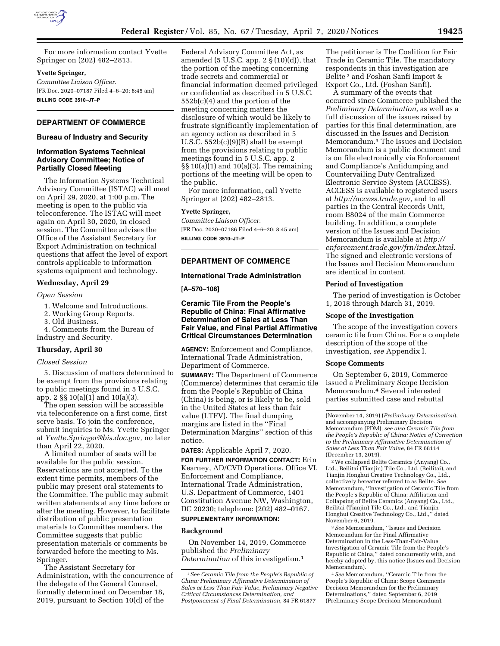

For more information contact Yvette Springer on (202) 482–2813.

#### **Yvette Springer,**

*Committee Liaison Officer.*  [FR Doc. 2020–07187 Filed 4–6–20; 8:45 am] **BILLING CODE 3510–JT–P** 

# **DEPARTMENT OF COMMERCE**

#### **Bureau of Industry and Security**

# **Information Systems Technical Advisory Committee; Notice of Partially Closed Meeting**

The Information Systems Technical Advisory Committee (ISTAC) will meet on April 29, 2020, at 1:00 p.m. The meeting is open to the public via teleconference. The ISTAC will meet again on April 30, 2020, in closed session. The Committee advises the Office of the Assistant Secretary for Export Administration on technical questions that affect the level of export controls applicable to information systems equipment and technology.

#### **Wednesday, April 29**

#### *Open Session*

- 1. Welcome and Introductions.
- 2. Working Group Reports.
- 3. Old Business.
- 4. Comments from the Bureau of Industry and Security.

#### **Thursday, April 30**

# *Closed Session*

5. Discussion of matters determined to be exempt from the provisions relating to public meetings found in 5 U.S.C. app. 2 §§ 10(a)(1) and 10(a)(3).

The open session will be accessible via teleconference on a first come, first serve basis. To join the conference, submit inquiries to Ms. Yvette Springer at *[Yvette.Springer@bis.doc.gov,](mailto:Yvette.Springer@bis.doc.gov)* no later than April 22, 2020.

A limited number of seats will be available for the public session. Reservations are not accepted. To the extent time permits, members of the public may present oral statements to the Committee. The public may submit written statements at any time before or after the meeting. However, to facilitate distribution of public presentation materials to Committee members, the Committee suggests that public presentation materials or comments be forwarded before the meeting to Ms. Springer.

The Assistant Secretary for Administration, with the concurrence of the delegate of the General Counsel, formally determined on December 18, 2019, pursuant to Section 10(d) of the

Federal Advisory Committee Act, as amended (5 U.S.C. app.  $2 \S(10)(d)$ ), that the portion of the meeting concerning trade secrets and commercial or financial information deemed privileged or confidential as described in 5 U.S.C. 552b(c)(4) and the portion of the meeting concerning matters the disclosure of which would be likely to frustrate significantly implementation of an agency action as described in 5 U.S.C. 552b(c)(9)(B) shall be exempt from the provisions relating to public meetings found in 5 U.S.C. app. 2 §§ 10(a)(1) and 10(a)(3). The remaining portions of the meeting will be open to the public.

For more information, call Yvette Springer at (202) 482–2813.

# **Yvette Springer,**

*Committee Liaison Officer.*  [FR Doc. 2020–07186 Filed 4–6–20; 8:45 am] **BILLING CODE 3510–JT–P** 

# **DEPARTMENT OF COMMERCE**

#### **International Trade Administration**

#### **[A–570–108]**

**Ceramic Tile From the People's Republic of China: Final Affirmative Determination of Sales at Less Than Fair Value, and Final Partial Affirmative Critical Circumstances Determination** 

**AGENCY:** Enforcement and Compliance, International Trade Administration, Department of Commerce.

**SUMMARY:** The Department of Commerce (Commerce) determines that ceramic tile from the People's Republic of China (China) is being, or is likely to be, sold in the United States at less than fair value (LTFV). The final dumping margins are listed in the ''Final Determination Margins'' section of this notice.

**DATES:** Applicable April 7, 2020.

**FOR FURTHER INFORMATION CONTACT:** Erin Kearney, AD/CVD Operations, Office VI, Enforcement and Compliance, International Trade Administration, U.S. Department of Commerce, 1401 Constitution Avenue NW, Washington, DC 20230; telephone: (202) 482–0167. **SUPPLEMENTARY INFORMATION:** 

# **Background**

On November 14, 2019, Commerce published the *Preliminary Determination* of this investigation.1

The petitioner is The Coalition for Fair Trade in Ceramic Tile. The mandatory respondents in this investigation are Belite 2 and Foshan Sanfi Import & Export Co., Ltd. (Foshan Sanfi).

A summary of the events that occurred since Commerce published the *Preliminary Determination,* as well as a full discussion of the issues raised by parties for this final determination, are discussed in the Issues and Decision Memorandum.3 The Issues and Decision Memorandum is a public document and is on file electronically via Enforcement and Compliance's Antidumping and Countervailing Duty Centralized Electronic Service System (ACCESS). ACCESS is available to registered users at *[http://access.trade.gov,](http://access.trade.gov)* and to all parties in the Central Records Unit, room B8024 of the main Commerce building. In addition, a complete version of the Issues and Decision Memorandum is available at *[http://](http://enforcement.trade.gov/frn/index.html) [enforcement.trade.gov/frn/index.html.](http://enforcement.trade.gov/frn/index.html)*  The signed and electronic versions of the Issues and Decision Memorandum are identical in content.

#### **Period of Investigation**

The period of investigation is October 1, 2018 through March 31, 2019.

#### **Scope of the Investigation**

The scope of the investigation covers ceramic tile from China. For a complete description of the scope of the investigation, *see* Appendix I.

### **Scope Comments**

On September 6, 2019, Commerce issued a Preliminary Scope Decision Memorandum.4 Several interested parties submitted case and rebuttal

2We collapsed Belite Ceramics (Anyang) Co., Ltd., Beilitai (Tianjin) Tile Co., Ltd. (Beilitai), and Tianjin Honghui Creative Technology Co., Ltd., collectively hereafter referred to as Belite. *See*  Memorandum, ''Investigation of Ceramic Tile from the People's Republic of China: Affiliation and Collapsing of Belite Ceramics (Anyang) Co., Ltd., Beilitai (Tianjin) Tile Co., Ltd., and Tianjin Honghui Creative Technology Co., Ltd.,'' dated November 6, 2019.

3*See* Memorandum, ''Issues and Decision Memorandum for the Final Affirmative Determination in the Less-Than-Fair-Value Investigation of Ceramic Tile from the People's Republic of China,'' dated concurrently with, and hereby adopted by, this notice (Issues and Decision Memorandum).

4*See* Memorandum, ''Ceramic Tile from the People's Republic of China: Scope Comments Decision Memorandum for the Preliminary Determinations,'' dated September 6, 2019 (Preliminary Scope Decision Memorandum).

<sup>1</sup>*See Ceramic Tile from the People's Republic of China: Preliminary Affirmative Determination of Sales at Less Than Fair Value, Preliminary Negative Critical Circumstances Determination, and Postponement of Final Determination,* 84 FR 61877

<sup>(</sup>November 14, 2019) (*Preliminary Determination*), and accompanying Preliminary Decision Memorandum (PDM); *see also Ceramic Tile from the People's Republic of China: Notice of Correction to the Preliminary Affirmative Determination of Sales at Less Than Fair Value,* 84 FR 68114 (December 13, 2019).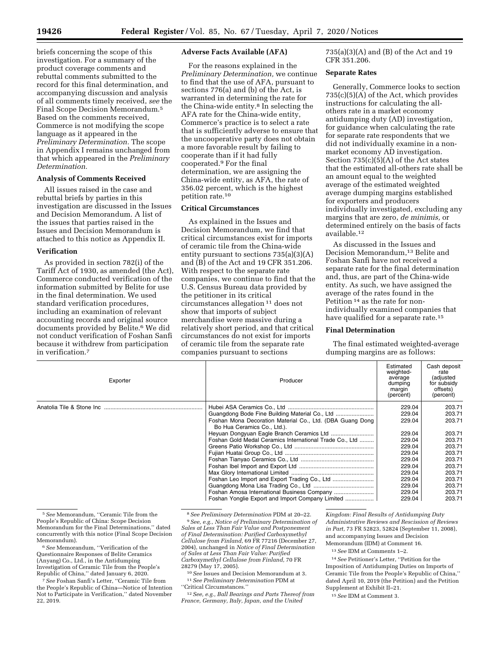briefs concerning the scope of this investigation. For a summary of the product coverage comments and rebuttal comments submitted to the record for this final determination, and accompanying discussion and analysis of all comments timely received, *see* the Final Scope Decision Memorandum.5 Based on the comments received, Commerce is not modifying the scope language as it appeared in the *Preliminary Determination.* The scope in Appendix I remains unchanged from that which appeared in the *Preliminary Determination.* 

# **Analysis of Comments Received**

All issues raised in the case and rebuttal briefs by parties in this investigation are discussed in the Issues and Decision Memorandum. A list of the issues that parties raised in the Issues and Decision Memorandum is attached to this notice as Appendix II.

#### **Verification**

As provided in section 782(i) of the Tariff Act of 1930, as amended (the Act), Commerce conducted verification of the information submitted by Belite for use in the final determination. We used standard verification procedures, including an examination of relevant accounting records and original source documents provided by Belite.6 We did not conduct verification of Foshan Sanfi because it withdrew from participation in verification.7

#### **Adverse Facts Available (AFA)**

For the reasons explained in the *Preliminary Determination,* we continue to find that the use of AFA, pursuant to sections 776(a) and (b) of the Act, is warranted in determining the rate for the China-wide entity.8 In selecting the AFA rate for the China-wide entity, Commerce's practice is to select a rate that is sufficiently adverse to ensure that the uncooperative party does not obtain a more favorable result by failing to cooperate than if it had fully cooperated.9 For the final determination, we are assigning the China-wide entity, as AFA, the rate of 356.02 percent, which is the highest petition rate.10

#### **Critical Circumstances**

As explained in the Issues and Decision Memorandum, we find that critical circumstances exist for imports of ceramic tile from the China-wide entity pursuant to sections 735(a)(3)(A) and (B) of the Act and 19 CFR 351.206. With respect to the separate rate companies, we continue to find that the U.S. Census Bureau data provided by the petitioner in its critical circumstances allegation 11 does not show that imports of subject merchandise were massive during a relatively short period, and that critical circumstances do not exist for imports of ceramic tile from the separate rate companies pursuant to sections

735(a)(3)(A) and (B) of the Act and 19 CFR 351.206.

### **Separate Rates**

Generally, Commerce looks to section 735(c)(5)(A) of the Act, which provides instructions for calculating the allothers rate in a market economy antidumping duty (AD) investigation, for guidance when calculating the rate for separate rate respondents that we did not individually examine in a nonmarket economy AD investigation. Section 735(c)(5)(A) of the Act states that the estimated all-others rate shall be an amount equal to the weighted average of the estimated weighted average dumping margins established for exporters and producers individually investigated, excluding any margins that are zero, *de minimis,* or determined entirely on the basis of facts available.12

As discussed in the Issues and Decision Memorandum,<sup>13</sup> Belite and Foshan Sanfi have not received a separate rate for the final determination and, thus, are part of the China-wide entity. As such, we have assigned the average of the rates found in the Petition 14 as the rate for nonindividually examined companies that have qualified for a separate rate.15

#### **Final Determination**

The final estimated weighted-average dumping margins are as follows:

| Exporter | Producer                                                                                 | Estimated<br>weighted-<br>average<br>dumping<br>margin<br>(percent) | Cash deposit<br>rate<br>(adjusted<br>for subsidy<br>offsets)<br>(percent) |
|----------|------------------------------------------------------------------------------------------|---------------------------------------------------------------------|---------------------------------------------------------------------------|
|          |                                                                                          | 229.04                                                              | 203.71                                                                    |
|          | Guangdong Bode Fine Building Material Co., Ltd                                           | 229.04                                                              | 203.71                                                                    |
|          | Foshan Mona Decoration Material Co., Ltd. (DBA Guang Dong<br>Bo Hua Ceramics Co., Ltd.). | 229.04                                                              | 203.71                                                                    |
|          |                                                                                          | 229.04                                                              | 203.71                                                                    |
|          | Foshan Gold Medal Ceramics International Trade Co., Ltd                                  | 229.04                                                              | 203.71                                                                    |
|          |                                                                                          | 229.04                                                              | 203.71                                                                    |
|          |                                                                                          | 229.04                                                              | 203.71                                                                    |
|          |                                                                                          | 229.04                                                              | 203.71                                                                    |
|          |                                                                                          | 229.04                                                              | 203.71                                                                    |
|          |                                                                                          | 229.04                                                              | 203.71                                                                    |
|          |                                                                                          | 229.04                                                              | 203.71                                                                    |
|          |                                                                                          | 229.04                                                              | 203.71                                                                    |
|          | Foshan Amosa International Business Company                                              | 229.04                                                              | 203.71                                                                    |
|          |                                                                                          | 229.04                                                              | 203.71                                                                    |

5*See* Memorandum, ''Ceramic Tile from the People's Republic of China: Scope Decision Memorandum for the Final Determinations,'' dated concurrently with this notice (Final Scope Decision Memorandum).

6*See* Memorandum, ''Verification of the Questionnaire Responses of Belite Ceramics (Anyang) Co., Ltd., in the Antidumping Investigation of Ceramic Tile from the People's Republic of China,'' dated January 6, 2020.

7*See* Foshan Sanfi's Letter, ''Ceramic Tile from the People's Republic of China—Notice of Intention Not to Participate in Verification,'' dated November 22, 2019.

<sup>8</sup>*See Preliminary Determination* PDM at 20–22. 9*See, e.g., Notice of Preliminary Determination of* 

*Sales at Less Than Fair Value and Postponement of Final Determination: Purified Carboxymethyl Cellulose from Finland,* 69 FR 77216 (December 27, 2004), unchanged in *Notice of Final Determination of Sales at Less Than Fair Value: Purified Carboxymethyl Cellulose from Finland,* 70 FR 28279 (May 17, 2005).

<sup>10</sup>*See* Issues and Decision Memorandum at 3. 11*See Preliminary Determination* PDM at ''Critical Circumstances.''

12*See, e.g., Ball Bearings and Parts Thereof from France, Germany, Italy, Japan, and the United* 

*Kingdom: Final Results of Antidumping Duty Administrative Reviews and Rescission of Reviews in Part,* 73 FR 52823, 52824 (September 11, 2008), and accompanying Issues and Decision

Memorandum (IDM) at Comment 16.

13*See* IDM at Comments 1–2.

14*See* Petitioner's Letter, ''Petition for the Imposition of Antidumping Duties on Imports of Ceramic Tile from the People's Republic of China,'' dated April 10, 2019 (the Petition) and the Petition Supplement at Exhibit II–21.

15*See* IDM at Comment 3.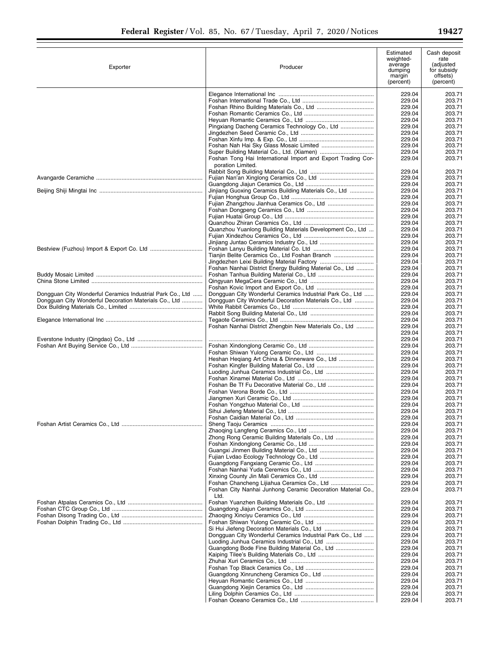▀

| Exporter                                                  | Producer                                                                          | Estimated<br>weighted-<br>average<br>dumping<br>margin<br>(percent) | Cash deposit<br>rate<br>(adjusted<br>for subsidy<br>offsets)<br>(percent) |
|-----------------------------------------------------------|-----------------------------------------------------------------------------------|---------------------------------------------------------------------|---------------------------------------------------------------------------|
|                                                           |                                                                                   | 229.04                                                              | 203.71                                                                    |
|                                                           |                                                                                   | 229.04                                                              | 203.71                                                                    |
|                                                           |                                                                                   | 229.04                                                              | 203.71                                                                    |
|                                                           |                                                                                   | 229.04                                                              | 203.71                                                                    |
|                                                           |                                                                                   | 229.04                                                              | 203.71                                                                    |
|                                                           |                                                                                   | 229.04                                                              | 203.71                                                                    |
|                                                           |                                                                                   | 229.04                                                              | 203.71                                                                    |
|                                                           |                                                                                   | 229.04                                                              | 203.71                                                                    |
|                                                           |                                                                                   | 229.04                                                              | 203.71                                                                    |
|                                                           |                                                                                   | 229.04                                                              | 203.71                                                                    |
|                                                           | Foshan Tong Hai International Import and Export Trading Cor-<br>poration Limited. | 229.04                                                              | 203.71                                                                    |
|                                                           |                                                                                   | 229.04                                                              | 203.71                                                                    |
|                                                           |                                                                                   | 229.04<br>229.04                                                    | 203.71<br>203.71                                                          |
|                                                           | Jinjiang Guoxing Ceramics Building Materials Co., Ltd                             | 229.04                                                              | 203.71                                                                    |
|                                                           |                                                                                   | 229.04                                                              | 203.71                                                                    |
|                                                           |                                                                                   | 229.04                                                              | 203.71                                                                    |
|                                                           |                                                                                   | 229.04                                                              | 203.71                                                                    |
|                                                           |                                                                                   | 229.04                                                              | 203.71                                                                    |
|                                                           |                                                                                   | 229.04                                                              | 203.71                                                                    |
|                                                           | Quanzhou Yuanlong Building Materials Development Co., Ltd                         | 229.04                                                              | 203.71                                                                    |
|                                                           |                                                                                   | 229.04                                                              | 203.71                                                                    |
|                                                           |                                                                                   | 229.04                                                              | 203.71                                                                    |
|                                                           |                                                                                   | 229.04                                                              | 203.71                                                                    |
|                                                           | Tianjin Belite Ceramics Co., Ltd Foshan Branch                                    | 229.04                                                              | 203.71                                                                    |
|                                                           |                                                                                   | 229.04                                                              | 203.71                                                                    |
|                                                           | Foshan Nanhai District Energy Building Material Co., Ltd                          | 229.04                                                              | 203.71                                                                    |
|                                                           |                                                                                   | 229.04<br>229.04                                                    | 203.71<br>203.71                                                          |
|                                                           |                                                                                   | 229.04                                                              | 203.71                                                                    |
| Dongguan City Wonderful Ceramics Industrial Park Co., Ltd | Dongguan City Wonderful Ceramics Industrial Park Co., Ltd                         | 229.04                                                              | 203.71                                                                    |
| Dongguan City Wonderful Decoration Materials Co., Ltd     | Dongguan City Wonderful Decoration Materials Co., Ltd                             | 229.04                                                              | 203.71                                                                    |
|                                                           |                                                                                   | 229.04                                                              | 203.71                                                                    |
|                                                           |                                                                                   | 229.04                                                              | 203.71                                                                    |
|                                                           |                                                                                   | 229.04                                                              | 203.71                                                                    |
|                                                           | Foshan Nanhai District Zhengbin New Materials Co., Ltd                            | 229.04                                                              | 203.71                                                                    |
|                                                           |                                                                                   | 229.04                                                              | 203.71                                                                    |
|                                                           |                                                                                   | 229.04                                                              | 203.71                                                                    |
|                                                           |                                                                                   | 229.04                                                              | 203.71                                                                    |
|                                                           |                                                                                   | 229.04                                                              | 203.71                                                                    |
|                                                           | Heshan Heqiang Art China & Dinnerware Co., Ltd                                    | 229.04                                                              | 203.71                                                                    |
|                                                           |                                                                                   | 229.04                                                              | 203.71                                                                    |
|                                                           |                                                                                   | 229.04<br>229.04                                                    | 203.71<br>203.71                                                          |
|                                                           |                                                                                   | 229.04                                                              | 203.71                                                                    |
|                                                           |                                                                                   | 229.04                                                              | 203.71                                                                    |
|                                                           |                                                                                   | 229.04                                                              | 203.71                                                                    |
|                                                           |                                                                                   | 229.04                                                              | 203.71                                                                    |
|                                                           |                                                                                   | 229.04                                                              | 203.71                                                                    |
|                                                           |                                                                                   | 229.04                                                              | 203.71                                                                    |
|                                                           |                                                                                   | 229.04                                                              | 203.71                                                                    |
|                                                           |                                                                                   | 229.04                                                              | 203.71                                                                    |
|                                                           | Zhong Rong Ceramic Building Materials Co., Ltd                                    | 229.04                                                              | 203.71                                                                    |
|                                                           |                                                                                   | 229.04                                                              | 203.71                                                                    |
|                                                           |                                                                                   | 229.04                                                              | 203.71                                                                    |
|                                                           |                                                                                   | 229.04                                                              | 203.71                                                                    |
|                                                           |                                                                                   | 229.04                                                              | 203.71                                                                    |
|                                                           |                                                                                   | 229.04                                                              | 203.71                                                                    |
|                                                           |                                                                                   | 229.04<br>229.04                                                    | 203.71<br>203.71                                                          |
|                                                           | Foshan City Nanhai Junhong Ceramic Decoration Material Co.,<br>Ltd.               | 229.04                                                              | 203.71                                                                    |
|                                                           |                                                                                   | 229.04                                                              | 203.71                                                                    |
|                                                           |                                                                                   | 229.04                                                              | 203.71                                                                    |
|                                                           |                                                                                   | 229.04                                                              | 203.71                                                                    |
|                                                           |                                                                                   | 229.04                                                              | 203.71                                                                    |
|                                                           |                                                                                   | 229.04                                                              | 203.71                                                                    |
|                                                           | Dongguan City Wonderful Ceramics Industrial Park Co., Ltd                         | 229.04                                                              | 203.71                                                                    |
|                                                           |                                                                                   | 229.04                                                              | 203.71                                                                    |
|                                                           | Guangdong Bode Fine Building Material Co., Ltd                                    | 229.04                                                              | 203.71                                                                    |
|                                                           |                                                                                   | 229.04                                                              | 203.71                                                                    |
|                                                           |                                                                                   | 229.04                                                              | 203.71                                                                    |
|                                                           |                                                                                   | 229.04<br>229.04                                                    | 203.71<br>203.71                                                          |
|                                                           |                                                                                   | 229.04                                                              | 203.71                                                                    |
|                                                           |                                                                                   | 229.04                                                              | 203.71                                                                    |
|                                                           |                                                                                   | 229.04                                                              | 203.71                                                                    |
|                                                           |                                                                                   | 229.04                                                              | 203.71                                                                    |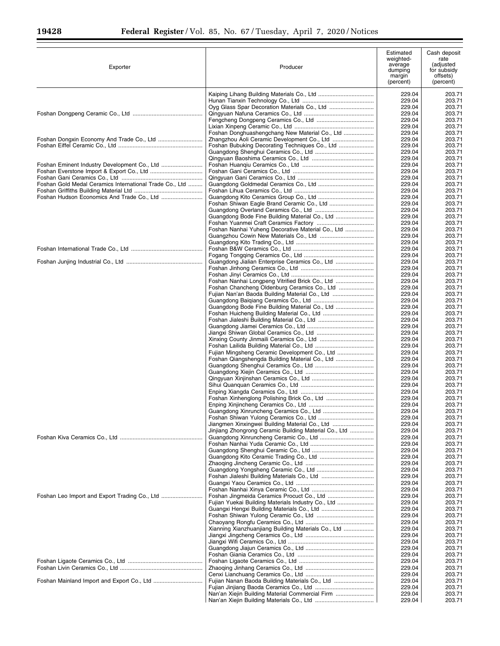Ξ

| Exporter                                                | Producer                                                                                                | Estimated<br>weighted-<br>average<br>dumping<br>margin<br>(percent) | Cash deposit<br>rate<br>(adjusted<br>for subsidy<br>offsets)<br>(percent) |
|---------------------------------------------------------|---------------------------------------------------------------------------------------------------------|---------------------------------------------------------------------|---------------------------------------------------------------------------|
|                                                         |                                                                                                         | 229.04<br>229.04                                                    | 203.71<br>203.71                                                          |
|                                                         |                                                                                                         | 229.04                                                              | 203.71                                                                    |
|                                                         |                                                                                                         | 229.04<br>229.04                                                    | 203.71<br>203.71                                                          |
|                                                         |                                                                                                         | 229.04                                                              | 203.71                                                                    |
|                                                         | Foshan Donghuashengchang New Material Co., Ltd                                                          | 229.04<br>229.04                                                    | 203.71<br>203.71                                                          |
|                                                         |                                                                                                         | 229.04                                                              | 203.71                                                                    |
|                                                         |                                                                                                         | 229.04<br>229.04                                                    | 203.71<br>203.71                                                          |
|                                                         |                                                                                                         | 229.04                                                              | 203.71                                                                    |
|                                                         |                                                                                                         | 229.04<br>229.04                                                    | 203.71<br>203.71                                                          |
| Foshan Gold Medal Ceramics International Trade Co., Ltd |                                                                                                         | 229.04<br>229.04                                                    | 203.71<br>203.71                                                          |
|                                                         |                                                                                                         | 229.04                                                              | 203.71                                                                    |
|                                                         | Foshan Shiwan Eagle Brand Ceramic Co., Ltd                                                              | 229.04<br>229.04                                                    | 203.71<br>203.71                                                          |
|                                                         | Guangdong Bode Fine Building Material Co., Ltd                                                          | 229.04                                                              | 203.71                                                                    |
|                                                         | Foshan Nanhai Yuheng Decorative Material Co., Ltd                                                       | 229.04<br>229.04                                                    | 203.71<br>203.71                                                          |
|                                                         |                                                                                                         | 229.04                                                              | 203.71                                                                    |
|                                                         |                                                                                                         | 229.04<br>229.04                                                    | 203.71<br>203.71                                                          |
|                                                         |                                                                                                         | 229.04                                                              | 203.71                                                                    |
|                                                         |                                                                                                         | 229.04<br>229.04                                                    | 203.71<br>203.71                                                          |
|                                                         |                                                                                                         | 229.04                                                              | 203.71                                                                    |
|                                                         | Foshan Nanhai Longpeng Vitrified Brick Co., Ltd<br>Foshan Chancheng Oldenburg Ceramics Co., Ltd         | 229.04<br>229.04                                                    | 203.71<br>203.71                                                          |
|                                                         | Fujian Nan'an Baoda Building Material Co., Ltd                                                          | 229.04                                                              | 203.71                                                                    |
|                                                         |                                                                                                         | 229.04                                                              | 203.71                                                                    |
|                                                         | Guangdong Bode Fine Building Material Co., Ltd                                                          | 229.04<br>229.04                                                    | 203.71<br>203.71                                                          |
|                                                         |                                                                                                         | 229.04                                                              | 203.71                                                                    |
|                                                         |                                                                                                         | 229.04<br>229.04                                                    | 203.71<br>203.71                                                          |
|                                                         |                                                                                                         | 229.04                                                              | 203.71                                                                    |
|                                                         | Fujian Mingsheng Ceramic Development Co., Ltd                                                           | 229.04<br>229.04                                                    | 203.71<br>203.71                                                          |
|                                                         | Foshan Qiangshengda Building Material Co., Ltd                                                          | 229.04                                                              | 203.71                                                                    |
|                                                         |                                                                                                         | 229.04<br>229.04                                                    | 203.71<br>203.71                                                          |
|                                                         |                                                                                                         | 229.04                                                              | 203.71                                                                    |
|                                                         |                                                                                                         | 229.04<br>229.04                                                    | 203.71<br>203.71                                                          |
|                                                         |                                                                                                         | 229.04                                                              | 203.71                                                                    |
|                                                         | Guangdong Xinruncheng Ceramics Co., Ltd                                                                 | 229.04<br>229.04                                                    | 203.71<br>203.71                                                          |
|                                                         |                                                                                                         | 229.04                                                              | 203.71                                                                    |
|                                                         | Jiangmen Xinxingwei Building Material Co., Ltd<br>Jinjiang Zhongrong Ceramic Building Material Co., Ltd | 229.04<br>229.04                                                    | 203.71<br>203.71                                                          |
|                                                         |                                                                                                         | 229.04                                                              | 203.71                                                                    |
|                                                         |                                                                                                         | 229.04<br>229.04                                                    | 203.71<br>203.71                                                          |
|                                                         |                                                                                                         | 229.04                                                              | 203.71                                                                    |
|                                                         |                                                                                                         | 229.04<br>229.04                                                    | 203.71<br>203.71                                                          |
|                                                         |                                                                                                         | 229.04                                                              | 203.71                                                                    |
|                                                         |                                                                                                         | 229.04<br>229.04                                                    | 203.71<br>203.71                                                          |
| Foshan Leo Import and Export Trading Co., Ltd           |                                                                                                         | 229.04                                                              | 203.71                                                                    |
|                                                         |                                                                                                         | 229.04<br>229.04                                                    | 203.71<br>203.71                                                          |
|                                                         |                                                                                                         | 229.04                                                              | 203.71                                                                    |
|                                                         | Xianning Xianzhuanjiang Building Materials Co., Ltd                                                     | 229.04<br>229.04                                                    | 203.71<br>203.71                                                          |
|                                                         |                                                                                                         | 229.04                                                              | 203.71                                                                    |
|                                                         |                                                                                                         | 229.04<br>229.04                                                    | 203.71<br>203.71                                                          |
|                                                         |                                                                                                         | 229.04                                                              | 203.71                                                                    |
|                                                         |                                                                                                         | 229.04<br>229.04                                                    | 203.71<br>203.71                                                          |
|                                                         |                                                                                                         | 229.04                                                              | 203.71                                                                    |
|                                                         |                                                                                                         | 229.04<br>229.04                                                    | 203.71<br>203.71                                                          |
|                                                         |                                                                                                         | 229.04                                                              | 203.71                                                                    |
|                                                         |                                                                                                         | 229.04                                                              | 203.71                                                                    |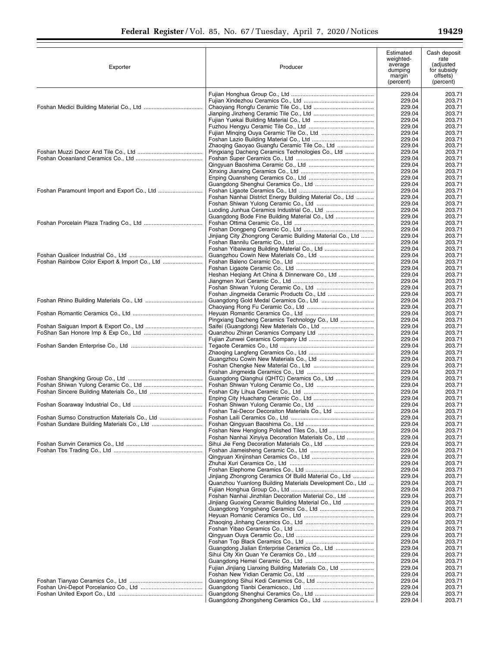▀

| Exporter                                     | Producer                                                                                                            | Estimated<br>weighted-<br>average<br>dumping<br>margin<br>(percent) | Cash deposit<br>rate<br>(adjusted<br>for subsidy<br>offsets)<br>(percent) |
|----------------------------------------------|---------------------------------------------------------------------------------------------------------------------|---------------------------------------------------------------------|---------------------------------------------------------------------------|
|                                              |                                                                                                                     | 229.04                                                              | 203.71                                                                    |
|                                              |                                                                                                                     | 229.04                                                              | 203.71                                                                    |
|                                              |                                                                                                                     | 229.04                                                              | 203.71                                                                    |
|                                              |                                                                                                                     | 229.04                                                              | 203.71                                                                    |
|                                              |                                                                                                                     | 229.04                                                              | 203.71                                                                    |
|                                              |                                                                                                                     | 229.04<br>229.04                                                    | 203.71<br>203.71                                                          |
|                                              |                                                                                                                     | 229.04                                                              | 203.71                                                                    |
|                                              | Zhaoging Gaoyao Guangfu Ceramic Tile Co., Ltd                                                                       | 229.04                                                              | 203.71                                                                    |
|                                              | Pingxiang Dacheng Ceramics Technologies Co., Ltd                                                                    | 229.04                                                              | 203.71                                                                    |
|                                              |                                                                                                                     | 229.04                                                              | 203.71                                                                    |
|                                              |                                                                                                                     | 229.04<br>229.04                                                    | 203.71<br>203.71                                                          |
|                                              |                                                                                                                     | 229.04                                                              | 203.71                                                                    |
|                                              |                                                                                                                     | 229.04                                                              | 203.71                                                                    |
|                                              |                                                                                                                     | 229.04                                                              | 203.71                                                                    |
|                                              | Foshan Nanhai District Energy Building Material Co., Ltd                                                            | 229.04                                                              | 203.71                                                                    |
|                                              |                                                                                                                     | 229.04                                                              | 203.71                                                                    |
|                                              | Luoding Junhua Ceramics Industrial Co., Ltd                                                                         | 229.04<br>229.04                                                    | 203.71<br>203.71                                                          |
|                                              |                                                                                                                     | 229.04                                                              | 203.71                                                                    |
|                                              |                                                                                                                     | 229.04                                                              | 203.71                                                                    |
|                                              | Jinjiang City Zhongrong Ceramic Building Material Co., Ltd                                                          | 229.04                                                              | 203.71                                                                    |
|                                              |                                                                                                                     | 229.04                                                              | 203.71                                                                    |
|                                              |                                                                                                                     | 229.04                                                              | 203.71                                                                    |
|                                              |                                                                                                                     | 229.04<br>229.04                                                    | 203.71<br>203.71                                                          |
|                                              |                                                                                                                     | 229.04                                                              | 203.71                                                                    |
|                                              |                                                                                                                     | 229.04                                                              | 203.71                                                                    |
|                                              |                                                                                                                     | 229.04                                                              | 203.71                                                                    |
|                                              |                                                                                                                     | 229.04                                                              | 203.71                                                                    |
|                                              |                                                                                                                     | 229.04                                                              | 203.71                                                                    |
|                                              |                                                                                                                     | 229.04<br>229.04                                                    | 203.71<br>203.71                                                          |
|                                              |                                                                                                                     | 229.04                                                              | 203.71                                                                    |
|                                              | Pingxiang Dacheng Ceramics Technology Co., Ltd                                                                      | 229.04                                                              | 203.71                                                                    |
|                                              |                                                                                                                     | 229.04                                                              | 203.71                                                                    |
|                                              |                                                                                                                     | 229.04                                                              | 203.71                                                                    |
|                                              |                                                                                                                     | 229.04                                                              | 203.71                                                                    |
|                                              |                                                                                                                     | 229.04<br>229.04                                                    | 203.71<br>203.71                                                          |
|                                              |                                                                                                                     | 229.04                                                              | 203.71                                                                    |
|                                              |                                                                                                                     | 229.04                                                              | 203.71                                                                    |
|                                              |                                                                                                                     | 229.04                                                              | 203.71                                                                    |
|                                              | Guangdong Qianghui (QHTC) Ceramics Co., Ltd                                                                         | 229.04                                                              | 203.71                                                                    |
|                                              |                                                                                                                     | 229.04<br>229.04                                                    | 203.71<br>203.71                                                          |
|                                              |                                                                                                                     | 229.04                                                              | 203.71                                                                    |
|                                              |                                                                                                                     | 229.04                                                              | 203.71                                                                    |
|                                              |                                                                                                                     | 229.04                                                              | 203.71                                                                    |
| Foshan Sumso Construction Materials Co., Ltd |                                                                                                                     | 229.04                                                              | 203.71                                                                    |
|                                              |                                                                                                                     | 229.04                                                              | 203.71                                                                    |
|                                              | Foshan Nanhai Xinyiya Decoration Materials Co., Ltd                                                                 | 229.04<br>229.04                                                    | 203.71<br>203.71                                                          |
|                                              |                                                                                                                     | 229.04                                                              | 203.71                                                                    |
|                                              |                                                                                                                     | 229.04                                                              | 203.71                                                                    |
|                                              |                                                                                                                     | 229.04                                                              | 203.71                                                                    |
|                                              |                                                                                                                     | 229.04                                                              | 203.71                                                                    |
|                                              |                                                                                                                     | 229.04                                                              | 203.71                                                                    |
|                                              | Jinjiang Zhongrong Ceramics Of Build Material Co., Ltd<br>Quanzhou Yuanlong Building Materials Development Co., Ltd | 229.04<br>229.04                                                    | 203.71<br>203.71                                                          |
|                                              |                                                                                                                     | 229.04                                                              | 203.71                                                                    |
|                                              | Foshan Nanhai Jinzhilan Decoration Material Co., Ltd                                                                | 229.04                                                              | 203.71                                                                    |
|                                              | Jinjiang Guoxing Ceramic Building Material Co., Ltd                                                                 | 229.04                                                              | 203.71                                                                    |
|                                              |                                                                                                                     | 229.04                                                              | 203.71                                                                    |
|                                              |                                                                                                                     | 229.04                                                              | 203.71                                                                    |
|                                              |                                                                                                                     | 229.04<br>229.04                                                    | 203.71<br>203.71                                                          |
|                                              |                                                                                                                     | 229.04                                                              | 203.71                                                                    |
|                                              |                                                                                                                     | 229.04                                                              | 203.71                                                                    |
|                                              | Guangdong Jialian Enterprise Ceramics Co., Ltd                                                                      | 229.04                                                              | 203.71                                                                    |
|                                              |                                                                                                                     | 229.04                                                              | 203.71                                                                    |
|                                              |                                                                                                                     | 229.04                                                              | 203.71                                                                    |
|                                              | Fujian Jinjiang Lianxing Building Materials Co., Ltd                                                                | 229.04<br>229.04                                                    | 203.71<br>203.71                                                          |
|                                              |                                                                                                                     | 229.04                                                              | 203.71                                                                    |
|                                              |                                                                                                                     | 229.04                                                              | 203.71                                                                    |
|                                              |                                                                                                                     | 229.04                                                              | 203.71                                                                    |
|                                              |                                                                                                                     | 229.04                                                              | 203.71                                                                    |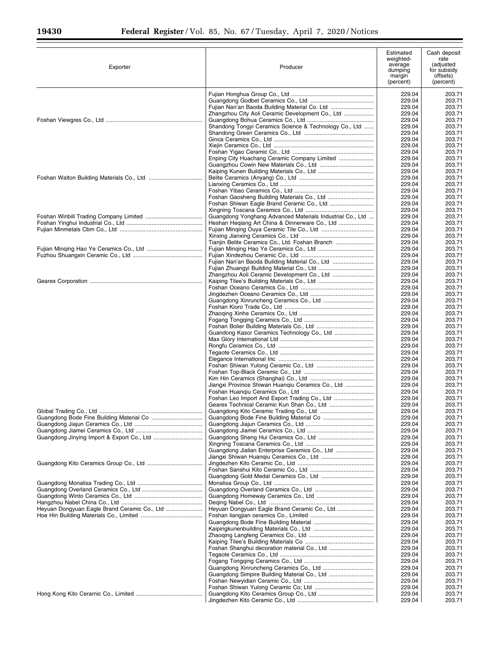$\equiv$ 

| Exporter                                     | Producer                                                  | Estimated<br>weighted-<br>average<br>dumping<br>margin<br>(percent) | Cash deposit<br>rate<br>(adjusted<br>for subsidy<br>offsets)<br>(percent) |
|----------------------------------------------|-----------------------------------------------------------|---------------------------------------------------------------------|---------------------------------------------------------------------------|
|                                              |                                                           | 229.04                                                              | 203.71                                                                    |
|                                              |                                                           | 229.04                                                              | 203.71                                                                    |
|                                              |                                                           | 229.04                                                              | 203.71                                                                    |
|                                              | Zhangzhou City Aoli Ceramic Development Co., Ltd          | 229.04<br>229.04                                                    | 203.71<br>203.71                                                          |
|                                              | Shandong Tongyi Ceramics Science & Technology Co., Ltd    | 229.04                                                              | 203.71                                                                    |
|                                              |                                                           | 229.04                                                              | 203.71                                                                    |
|                                              |                                                           | 229.04                                                              | 203.71                                                                    |
|                                              |                                                           | 229.04<br>229.04                                                    | 203.71<br>203.71                                                          |
|                                              | Enping City Huachang Ceramic Company Limited              | 229.04                                                              | 203.71                                                                    |
|                                              |                                                           | 229.04                                                              | 203.71                                                                    |
|                                              |                                                           | 229.04                                                              | 203.71                                                                    |
|                                              |                                                           | 229.04<br>229.04                                                    | 203.71<br>203.71                                                          |
|                                              |                                                           | 229.04                                                              | 203.71                                                                    |
|                                              | Foshan Gaosheng Building Materials Co., Ltd               | 229.04                                                              | 203.71                                                                    |
|                                              |                                                           | 229.04                                                              | 203.71                                                                    |
|                                              | Guangdong Yonghang Advanced Materials Industrial Co., Ltd | 229.04<br>229.04                                                    | 203.71<br>203.71                                                          |
|                                              |                                                           | 229.04                                                              | 203.71                                                                    |
|                                              |                                                           | 229.04                                                              | 203.71                                                                    |
|                                              |                                                           | 229.04                                                              | 203.71                                                                    |
|                                              | Tianjin Belite Ceramics Co., Ltd. Foshan Branch           | 229.04                                                              | 203.71                                                                    |
|                                              |                                                           | 229.04<br>229.04                                                    | 203.71<br>203.71                                                          |
|                                              | Fujian Nan'an Baoda Building Material Co., Ltd            | 229.04                                                              | 203.71                                                                    |
|                                              |                                                           | 229.04                                                              | 203.71                                                                    |
|                                              |                                                           | 229.04                                                              | 203.71                                                                    |
|                                              |                                                           | 229.04<br>229.04                                                    | 203.71<br>203.71                                                          |
|                                              |                                                           | 229.04                                                              | 203.71                                                                    |
|                                              |                                                           | 229.04                                                              | 203.71                                                                    |
|                                              |                                                           | 229.04                                                              | 203.71                                                                    |
|                                              |                                                           | 229.04<br>229.04                                                    | 203.71<br>203.71                                                          |
|                                              |                                                           | 229.04                                                              | 203.71                                                                    |
|                                              |                                                           | 229.04                                                              | 203.71                                                                    |
|                                              |                                                           | 229.04                                                              | 203.71                                                                    |
|                                              |                                                           | 229.04<br>229.04                                                    | 203.71<br>203.71                                                          |
|                                              |                                                           | 229.04                                                              | 203.71                                                                    |
|                                              |                                                           | 229.04                                                              | 203.71                                                                    |
|                                              |                                                           | 229.04                                                              | 203.71                                                                    |
|                                              | Jiangxi Province Shiwan Huangiu Ceramics Co., Ltd         | 229.04<br>229.04                                                    | 203.71<br>203.71                                                          |
|                                              |                                                           | 229.04                                                              | 203.71                                                                    |
|                                              | Foshan Leo Import And Export Trading Co., Ltd             | 229.04                                                              | 203.71                                                                    |
|                                              | Gearex Technical Ceramic Kun Shan Co., Ltd                | 229.04                                                              | 203.71                                                                    |
|                                              | Guangdong Kito Ceramic Trading Co., Ltd                   | 229.04<br>229.04                                                    | 203.71<br>203.71                                                          |
|                                              |                                                           | 229.04                                                              | 203.71                                                                    |
|                                              |                                                           | 229.04                                                              | 203.71                                                                    |
|                                              |                                                           | 229.04                                                              | 203.71                                                                    |
|                                              | Guangdong Jialian Enterprise Ceramics Co., Ltd            | 229.04<br>229.04                                                    | 203.71<br>203.71                                                          |
|                                              |                                                           | 229.04                                                              | 203.71                                                                    |
|                                              |                                                           | 229.04                                                              | 203.71                                                                    |
|                                              |                                                           | 229.04                                                              | 203.71                                                                    |
|                                              |                                                           | 229.04<br>229.04                                                    | 203.71<br>203.71                                                          |
|                                              |                                                           | 229.04                                                              | 203.71                                                                    |
|                                              |                                                           | 229.04                                                              | 203.71                                                                    |
|                                              |                                                           | 229.04                                                              | 203.71                                                                    |
| Heyuan Dongyuan Eagle Brand Ceramic Co., Ltd |                                                           | 229.04<br>229.04                                                    | 203.71<br>203.71                                                          |
|                                              |                                                           | 229.04                                                              | 203.71                                                                    |
|                                              |                                                           | 229.04                                                              | 203.71                                                                    |
|                                              |                                                           | 229.04                                                              | 203.71                                                                    |
|                                              |                                                           | 229.04<br>229.04                                                    | 203.71<br>203.71                                                          |
|                                              |                                                           | 229.04                                                              | 203.71                                                                    |
|                                              |                                                           | 229.04                                                              | 203.71                                                                    |
|                                              |                                                           | 229.04                                                              | 203.71                                                                    |
|                                              | Guangdong Simpire Building Material Co., Ltd              | 229.04<br>229.04                                                    | 203.71<br>203.71                                                          |
|                                              |                                                           | 229.04                                                              | 203.71                                                                    |
|                                              |                                                           | 229.04                                                              | 203.71                                                                    |
|                                              |                                                           | 229.04                                                              | 203.71                                                                    |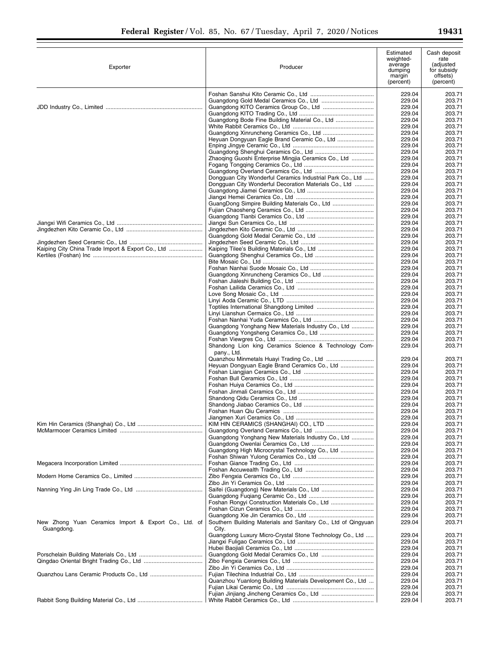| Exporter                                                           | Producer                                                               | Estimated<br>weighted-<br>average<br>dumping<br>margin<br>(percent) | Cash deposit<br>rate<br>(adjusted<br>for subsidy<br>offsets)<br>(percent) |
|--------------------------------------------------------------------|------------------------------------------------------------------------|---------------------------------------------------------------------|---------------------------------------------------------------------------|
|                                                                    |                                                                        | 229.04                                                              | 203.71                                                                    |
|                                                                    |                                                                        | 229.04                                                              | 203.71                                                                    |
|                                                                    |                                                                        | 229.04                                                              | 203.71                                                                    |
|                                                                    |                                                                        | 229.04                                                              | 203.71                                                                    |
|                                                                    | Guangdong Bode Fine Building Material Co., Ltd                         | 229.04<br>229.04                                                    | 203.71<br>203.71                                                          |
|                                                                    |                                                                        | 229.04                                                              | 203.71                                                                    |
|                                                                    | Heyuan Dongyuan Eagle Brand Ceramic Co., Ltd                           | 229.04                                                              | 203.71                                                                    |
|                                                                    |                                                                        | 229.04                                                              | 203.71                                                                    |
|                                                                    |                                                                        | 229.04<br>229.04                                                    | 203.71<br>203.71                                                          |
|                                                                    | Zhaoqing Guoshi Enterprise Mingjia Ceramics Co., Ltd                   | 229.04                                                              | 203.71                                                                    |
|                                                                    |                                                                        | 229.04                                                              | 203.71                                                                    |
|                                                                    | Dongguan City Wonderful Ceramics Industrial Park Co., Ltd              | 229.04                                                              | 203.71                                                                    |
|                                                                    | Dongguan City Wonderful Decoration Materials Co., Ltd                  | 229.04                                                              | 203.71                                                                    |
|                                                                    |                                                                        | 229.04<br>229.04                                                    | 203.71<br>203.71                                                          |
|                                                                    |                                                                        | 229.04                                                              | 203.71                                                                    |
|                                                                    |                                                                        | 229.04                                                              | 203.71                                                                    |
|                                                                    |                                                                        | 229.04                                                              | 203.71                                                                    |
|                                                                    |                                                                        | 229.04<br>229.04                                                    | 203.71<br>203.71                                                          |
|                                                                    |                                                                        | 229.04                                                              | 203.71                                                                    |
|                                                                    |                                                                        | 229.04                                                              | 203.71                                                                    |
| Kaiping City China Trade Import & Export Co., Ltd                  |                                                                        | 229.04                                                              | 203.71                                                                    |
|                                                                    |                                                                        | 229.04<br>229.04                                                    | 203.71<br>203.71                                                          |
|                                                                    |                                                                        | 229.04                                                              | 203.71                                                                    |
|                                                                    |                                                                        | 229.04                                                              | 203.71                                                                    |
|                                                                    |                                                                        | 229.04                                                              | 203.71                                                                    |
|                                                                    |                                                                        | 229.04                                                              | 203.71                                                                    |
|                                                                    |                                                                        | 229.04<br>229.04                                                    | 203.71<br>203.71                                                          |
|                                                                    |                                                                        | 229.04                                                              | 203.71                                                                    |
|                                                                    |                                                                        | 229.04                                                              | 203.71                                                                    |
|                                                                    |                                                                        | 229.04                                                              | 203.71                                                                    |
|                                                                    | Guangdong Yonghang New Materials Industry Co., Ltd                     | 229.04                                                              | 203.71                                                                    |
|                                                                    |                                                                        | 229.04<br>229.04                                                    | 203.71<br>203.71                                                          |
|                                                                    | Shandong Lion king Ceramics Science & Technology Com-<br>pany., Ltd.   | 229.04                                                              | 203.71                                                                    |
|                                                                    |                                                                        | 229.04                                                              | 203.71                                                                    |
|                                                                    | Heyuan Dongyuan Eagle Brand Ceramics Co., Ltd                          | 229.04                                                              | 203.71                                                                    |
|                                                                    |                                                                        | 229.04<br>229.04                                                    | 203.71<br>203.71                                                          |
|                                                                    |                                                                        | 229.04                                                              | 203.71                                                                    |
|                                                                    |                                                                        | 229.04                                                              | 203.71                                                                    |
|                                                                    |                                                                        | 229.04                                                              | 203.71                                                                    |
|                                                                    |                                                                        | 229.04<br>229.04                                                    | 203.71<br>203.71                                                          |
|                                                                    |                                                                        | 229.04                                                              | 203.71                                                                    |
|                                                                    |                                                                        | 229.04                                                              | 203.71                                                                    |
|                                                                    |                                                                        | 229.04                                                              | 203.71                                                                    |
|                                                                    | Guangdong Yonghang New Materials Industry Co., Ltd                     | 229.04                                                              | 203.71                                                                    |
|                                                                    | Guangdong High Microcrystal Technology Co., Ltd                        | 229.04<br>229.04                                                    | 203.71<br>203.71                                                          |
|                                                                    |                                                                        | 229.04                                                              | 203.71                                                                    |
|                                                                    |                                                                        | 229.04                                                              | 203.71                                                                    |
|                                                                    |                                                                        | 229.04                                                              | 203.71                                                                    |
|                                                                    |                                                                        | 229.04<br>229.04                                                    | 203.71<br>203.71                                                          |
|                                                                    |                                                                        | 229.04                                                              | 203.71                                                                    |
|                                                                    |                                                                        | 229.04                                                              | 203.71                                                                    |
|                                                                    |                                                                        | 229.04                                                              | 203.71                                                                    |
|                                                                    |                                                                        | 229.04                                                              | 203.71                                                                    |
| New Zhong Yuan Ceramics Import & Export Co., Ltd. of<br>Guangdong. | Southern Building Materials and Sanitary Co., Ltd of Qingyuan<br>City. | 229.04<br>229.04                                                    | 203.71<br>203.71                                                          |
|                                                                    | Guangdong Luxury Micro-Crystal Stone Technology Co., Ltd               | 229.04                                                              | 203.71                                                                    |
|                                                                    |                                                                        | 229.04                                                              | 203.71                                                                    |
|                                                                    |                                                                        | 229.04                                                              | 203.71                                                                    |
|                                                                    |                                                                        | 229.04<br>229.04                                                    | 203.71<br>203.71                                                          |
|                                                                    |                                                                        | 229.04                                                              | 203.71                                                                    |
|                                                                    |                                                                        | 229.04                                                              | 203.71                                                                    |
|                                                                    | Quanzhou Yuanlong Building Materials Development Co., Ltd              | 229.04                                                              | 203.71                                                                    |
|                                                                    |                                                                        | 229.04<br>229.04                                                    | 203.71                                                                    |
|                                                                    |                                                                        | 229.04                                                              | 203.71<br>203.71                                                          |
|                                                                    |                                                                        |                                                                     |                                                                           |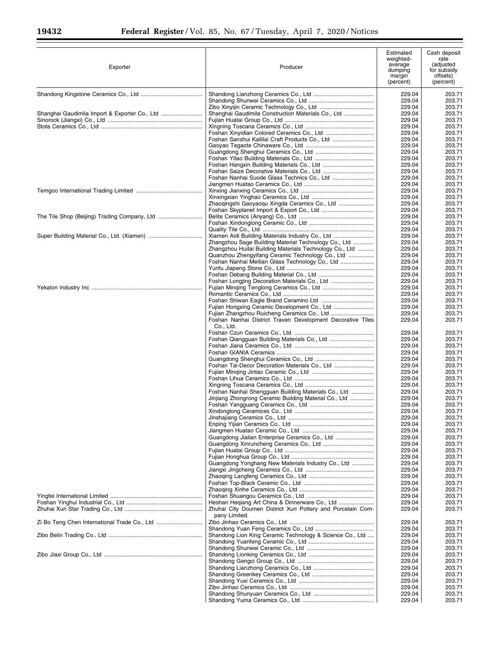$\equiv$ 

| Exporter                                      | Producer                                                                                                      | Estimated<br>weighted-<br>average<br>dumping<br>margin<br>(percent) | Cash deposit<br>rate<br>(adjusted<br>for subsidy<br>offsets)<br>(percent) |
|-----------------------------------------------|---------------------------------------------------------------------------------------------------------------|---------------------------------------------------------------------|---------------------------------------------------------------------------|
|                                               |                                                                                                               | 229.04                                                              | 203.71                                                                    |
|                                               |                                                                                                               | 229.04                                                              | 203.71                                                                    |
|                                               |                                                                                                               | 229.04                                                              | 203.71                                                                    |
| Shanghai Gaudimila Import & Exporter Co., Ltd | Shanghai Gaudimila Construction Materials Co., Ltd                                                            | 229.04                                                              | 203.71                                                                    |
|                                               |                                                                                                               | 229.04                                                              | 203.71                                                                    |
|                                               |                                                                                                               | 229.04<br>229.04                                                    | 203.71<br>203.71                                                          |
|                                               | Foshan Sanshui Kaililai Craft Products Co., Ltd                                                               | 229.04                                                              | 203.71                                                                    |
|                                               |                                                                                                               | 229.04                                                              | 203.71                                                                    |
|                                               |                                                                                                               | 229.04                                                              | 203.71                                                                    |
|                                               |                                                                                                               | 229.04<br>229.04                                                    | 203.71<br>203.71                                                          |
|                                               |                                                                                                               | 229.04                                                              | 203.71                                                                    |
|                                               |                                                                                                               | 229.04                                                              | 203.71                                                                    |
|                                               |                                                                                                               | 229.04                                                              | 203.71                                                                    |
|                                               |                                                                                                               | 229.04                                                              | 203.71                                                                    |
|                                               | Zhaoqingshi Gaoyaoqu Xingda Ceramics Co., Ltd                                                                 | 229.04<br>229.04                                                    | 203.71<br>203.71                                                          |
|                                               |                                                                                                               | 229.04                                                              | 203.71                                                                    |
|                                               |                                                                                                               | 229.04                                                              | 203.71                                                                    |
|                                               |                                                                                                               | 229.04                                                              | 203.71                                                                    |
|                                               |                                                                                                               | 229.04                                                              | 203.71                                                                    |
|                                               | Zhangzhou Sage Building Material Technology Co., Ltd                                                          | 229.04<br>229.04                                                    | 203.71<br>203.71                                                          |
|                                               | Zhangzhou Huitai Building Materials Technology Co., Ltd                                                       | 229.04                                                              | 203.71                                                                    |
|                                               | Quanzhou Zhengyifang Ceramic Technology Co., Ltd                                                              | 229.04                                                              | 203.71                                                                    |
|                                               | Foshan Nanhai Meitian Glass Technology Co., Ltd                                                               | 229.04                                                              | 203.71                                                                    |
|                                               |                                                                                                               | 229.04<br>229.04                                                    | 203.71<br>203.71                                                          |
|                                               |                                                                                                               | 229.04                                                              | 203.71                                                                    |
|                                               |                                                                                                               | 229.04                                                              | 203.71                                                                    |
|                                               |                                                                                                               | 229.04                                                              | 203.71                                                                    |
|                                               |                                                                                                               | 229.04                                                              | 203.71                                                                    |
|                                               |                                                                                                               | 229.04<br>229.04                                                    | 203.71<br>203.71                                                          |
|                                               | Foshan Nanhai District Traven Development Decorative Tiles<br>Co., Ltd.                                       | 229.04                                                              | 203.71                                                                    |
|                                               |                                                                                                               | 229.04                                                              | 203.71                                                                    |
|                                               |                                                                                                               | 229.04                                                              | 203.71                                                                    |
|                                               |                                                                                                               | 229.04                                                              | 203.71                                                                    |
|                                               |                                                                                                               | 229.04                                                              | 203.71                                                                    |
|                                               |                                                                                                               | 229.04<br>229.04                                                    | 203.71<br>203.71                                                          |
|                                               |                                                                                                               | 229.04                                                              | 203.71                                                                    |
|                                               |                                                                                                               | 229.04                                                              | 203.71                                                                    |
|                                               |                                                                                                               | 229.04                                                              | 203.71                                                                    |
|                                               | Foshan Nanhai Shengguan Building Materials Co., Ltd                                                           | 229.04                                                              | 203.71                                                                    |
|                                               | Jinjiang Zhongrong Ceramic Building Material Co., Ltd                                                         | 229.04<br>229.04                                                    | 203.71<br>203.71                                                          |
|                                               |                                                                                                               | 229.04                                                              | 203.71                                                                    |
|                                               |                                                                                                               | 229.04                                                              | 203.71                                                                    |
|                                               |                                                                                                               | 229.04                                                              | 203.71                                                                    |
|                                               |                                                                                                               | 229.04<br>229.04                                                    | 203.71<br>203.71                                                          |
|                                               | Guangdong Jialian Enterprise Ceramics Co., Ltd                                                                | 229.04                                                              | 203.71                                                                    |
|                                               |                                                                                                               | 229.04                                                              | 203.71                                                                    |
|                                               |                                                                                                               | 229.04                                                              | 203.71                                                                    |
|                                               | Guangdong Yonghang New Materials Industry Co., Ltd                                                            | 229.04                                                              | 203.71                                                                    |
|                                               |                                                                                                               | 229.04<br>229.04                                                    | 203.71<br>203.71                                                          |
|                                               |                                                                                                               | 229.04                                                              | 203.71                                                                    |
|                                               |                                                                                                               | 229.04                                                              | 203.71                                                                    |
|                                               |                                                                                                               | 229.04                                                              | 203.71                                                                    |
|                                               | Heshan Heqiang Art China & Dinnerware Co., Ltd<br>Zhuhai City Doumen District Xuri Pottery and Porcelain Com- | 229.04<br>229.04                                                    | 203.71<br>203.71                                                          |
|                                               | pany Limited.                                                                                                 | 229.04                                                              | 203.71                                                                    |
|                                               |                                                                                                               | 229.04                                                              | 203.71                                                                    |
|                                               | Shandong Lion King Ceramic Technology & Science Co., Ltd                                                      | 229.04                                                              | 203.71                                                                    |
|                                               |                                                                                                               | 229.04<br>229.04                                                    | 203.71<br>203.71                                                          |
|                                               |                                                                                                               | 229.04                                                              | 203.71                                                                    |
|                                               |                                                                                                               | 229.04                                                              | 203.71                                                                    |
|                                               |                                                                                                               | 229.04                                                              | 203.71                                                                    |
|                                               |                                                                                                               | 229.04                                                              | 203.71                                                                    |
|                                               |                                                                                                               | 229.04<br>229.04                                                    | 203.71<br>203.71                                                          |
|                                               |                                                                                                               | 229.04                                                              | 203.71                                                                    |
|                                               |                                                                                                               | 229.04                                                              | 203.71                                                                    |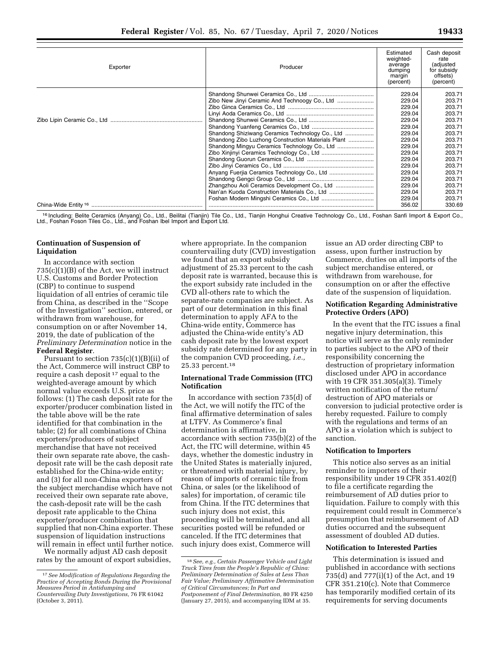| Exporter | Producer                                           | Estimated<br>weighted-<br>average<br>dumping<br>margin<br>(percent) | Cash deposit<br>rate<br>(adjusted<br>for subsidy<br>offsets)<br>(percent) |
|----------|----------------------------------------------------|---------------------------------------------------------------------|---------------------------------------------------------------------------|
|          |                                                    | 229.04                                                              | 203.71                                                                    |
|          | Zibo New Jinyi Ceramic And Technoogy Co., Ltd      | 229.04                                                              | 203.71                                                                    |
|          |                                                    | 229.04                                                              | 203.71                                                                    |
|          |                                                    | 229.04                                                              | 203.71                                                                    |
|          |                                                    | 229.04                                                              | 203.71                                                                    |
|          |                                                    | 229.04                                                              | 203.71                                                                    |
|          | Shandong Shiziwang Ceramics Technology Co., Ltd    | 229.04                                                              | 203.71                                                                    |
|          | Shandong Zibo Luzhong Construction Materials Plant | 229.04                                                              | 203.71                                                                    |
|          | Shandong Mingyu Ceramics Technology Co., Ltd       | 229.04                                                              | 203.71                                                                    |
|          |                                                    | 229.04                                                              | 203.71                                                                    |
|          |                                                    | 229.04                                                              | 203.71                                                                    |
|          |                                                    | 229.04                                                              | 203.71                                                                    |
|          |                                                    | 229.04                                                              | 203.71                                                                    |
|          |                                                    | 229.04                                                              | 203.71                                                                    |
|          | Zhangzhou Aoli Ceramics Development Co., Ltd       | 229.04                                                              | 203.71                                                                    |
|          |                                                    | 229.04                                                              | 203.71                                                                    |
|          |                                                    | 229.04                                                              | 203.71                                                                    |
|          |                                                    | 356.02                                                              | 330.69                                                                    |

<sup>16</sup> Including: Belite Ceramics (Anyang) Co., Ltd., Beilitai (Tianjin) Tile Co., Ltd., Tianjin Honghui Creative Technology Co., Ltd., Foshan Sanfi Import & Export Co.,<br>Ltd., Foshan Foson Tiles Co., Ltd., and Foshan Ibel Im

# **Continuation of Suspension of Liquidation**

In accordance with section 735(c)(1)(B) of the Act, we will instruct U.S. Customs and Border Protection (CBP) to continue to suspend liquidation of all entries of ceramic tile from China, as described in the ''Scope of the Investigation'' section, entered, or withdrawn from warehouse, for consumption on or after November 14, 2019, the date of publication of the *Preliminary Determination* notice in the **Federal Register**.

Pursuant to section 735(c)(1)(B)(ii) of the Act, Commerce will instruct CBP to require a cash deposit 17 equal to the weighted-average amount by which normal value exceeds U.S. price as follows: (1) The cash deposit rate for the exporter/producer combination listed in the table above will be the rate identified for that combination in the table; (2) for all combinations of China exporters/producers of subject merchandise that have not received their own separate rate above, the cashdeposit rate will be the cash deposit rate established for the China-wide entity; and (3) for all non-China exporters of the subject merchandise which have not received their own separate rate above, the cash-deposit rate will be the cash deposit rate applicable to the China exporter/producer combination that supplied that non-China exporter. These suspension of liquidation instructions will remain in effect until further notice.

We normally adjust AD cash deposit rates by the amount of export subsidies,

where appropriate. In the companion countervailing duty (CVD) investigation we found that an export subsidy adjustment of 25.33 percent to the cash deposit rate is warranted, because this is the export subsidy rate included in the CVD all-others rate to which the separate-rate companies are subject. As part of our determination in this final determination to apply AFA to the China-wide entity, Commerce has adjusted the China-wide entity's AD cash deposit rate by the lowest export subsidy rate determined for any party in the companion CVD proceeding, *i.e.,*  25.33 percent.18

#### **International Trade Commission (ITC) Notification**

In accordance with section 735(d) of the Act, we will notify the ITC of the final affirmative determination of sales at LTFV. As Commerce's final determination is affirmative, in accordance with section 735(b)(2) of the Act, the ITC will determine, within 45 days, whether the domestic industry in the United States is materially injured, or threatened with material injury, by reason of imports of ceramic tile from China, or sales (or the likelihood of sales) for importation, of ceramic tile from China. If the ITC determines that such injury does not exist, this proceeding will be terminated, and all securities posted will be refunded or canceled. If the ITC determines that such injury does exist, Commerce will

issue an AD order directing CBP to assess, upon further instruction by Commerce, duties on all imports of the subject merchandise entered, or withdrawn from warehouse, for consumption on or after the effective date of the suspension of liquidation.

### **Notification Regarding Administrative Protective Orders (APO)**

In the event that the ITC issues a final negative injury determination, this notice will serve as the only reminder to parties subject to the APO of their responsibility concerning the destruction of proprietary information disclosed under APO in accordance with 19 CFR 351.305(a)(3). Timely written notification of the return/ destruction of APO materials or conversion to judicial protective order is hereby requested. Failure to comply with the regulations and terms of an APO is a violation which is subject to sanction.

#### **Notification to Importers**

This notice also serves as an initial reminder to importers of their responsibility under 19 CFR 351.402(f) to file a certificate regarding the reimbursement of AD duties prior to liquidation. Failure to comply with this requirement could result in Commerce's presumption that reimbursement of AD duties occurred and the subsequent assessment of doubled AD duties.

#### **Notification to Interested Parties**

This determination is issued and published in accordance with sections 735(d) and 777(i)(1) of the Act, and 19 CFR 351.210(c). Note that Commerce has temporarily modified certain of its requirements for serving documents

<sup>17</sup>*See Modification of Regulations Regarding the Practice of Accepting Bonds During the Provisional Measures Period in Antidumping and Countervailing Duty Investigations,* 76 FR 61042 (October 3, 2011).

<sup>18</sup>*See, e.g., Certain Passenger Vehicle and Light Truck Tires from the People's Republic of China: Preliminary Determination of Sales at Less Than Fair Value; Preliminary Affirmative Determination of Critical Circumstances; In Part and Postponement of Final Determination,* 80 FR 4250 (January 27, 2015), and accompanying IDM at 35.